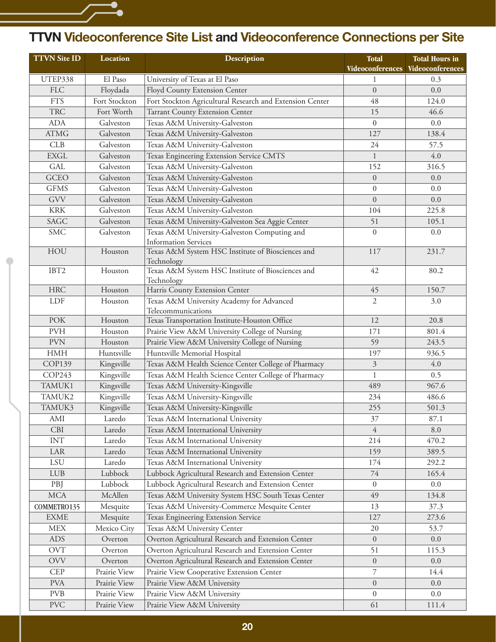## **TTVN Videoconference Site List and Videoconference Connections per Site**

| <b>TTVN Site ID</b>  | Location      | Description                                                     | <b>Total</b>     | <b>Total Hours in</b>             |
|----------------------|---------------|-----------------------------------------------------------------|------------------|-----------------------------------|
|                      |               |                                                                 |                  | Videoconferences Videoconferences |
| UTEP338              | El Paso       | University of Texas at El Paso                                  |                  | 0.3                               |
| <b>FLC</b>           | Floydada      | Floyd County Extension Center                                   | $\Omega$         | 0.0                               |
| <b>FTS</b>           | Fort Stockton | Fort Stockton Agricultural Research and Extension Center        | 48               | 124.0                             |
| <b>TRC</b>           | Fort Worth    | Tarrant County Extension Center                                 | 15               | 46.6                              |
| <b>ADA</b>           | Galveston     | Texas A&M University-Galveston                                  | $\boldsymbol{0}$ | 0.0                               |
| ATMG                 | Galveston     | Texas A&M University-Galveston                                  | 127              | 138.4                             |
| CLB                  | Galveston     | Texas A&M University-Galveston                                  | 24               | 57.5                              |
| <b>EXGL</b>          | Galveston     | Texas Engineering Extension Service CMTS                        | $\mathbf{1}$     | 4.0                               |
| <b>GAL</b>           | Galveston     | Texas A&M University-Galveston                                  | 152              | 316.5                             |
| <b>GCEO</b>          | Galveston     | Texas A&M University-Galveston                                  | $\overline{0}$   | 0.0                               |
| <b>GFMS</b>          | Galveston     | Texas A&M University-Galveston                                  | $\boldsymbol{0}$ | 0.0                               |
| GVV                  | Galveston     | Texas A&M University-Galveston                                  | $\overline{0}$   | 0.0                               |
| $\operatorname{KRK}$ | Galveston     | Texas A&M University-Galveston                                  | 104              | 225.8                             |
| SAGC                 | Galveston     | Texas A&M University-Galveston Sea Aggie Center                 | 51               | 105.1                             |
| <b>SMC</b>           | Galveston     | Texas A&M University-Galveston Computing and                    | $\boldsymbol{0}$ | 0.0                               |
|                      |               | <b>Information Services</b>                                     |                  |                                   |
| HOU                  | Houston       | Texas A&M System HSC Institute of Biosciences and<br>Technology | 117              | 231.7                             |
| IBT2                 | Houston       | Texas A&M System HSC Institute of Biosciences and<br>Technology | 42               | 80.2                              |
| <b>HRC</b>           | Houston       | Harris County Extension Center                                  | 45               | 150.7                             |
| LDF                  | Houston       | Texas A&M University Academy for Advanced                       | $\overline{2}$   | 3.0                               |
|                      |               | Telecommunications                                              |                  |                                   |
| <b>POK</b>           | Houston       | Texas Transportation Institute-Houston Office                   | 12               | 20.8                              |
| <b>PVH</b>           | Houston       | Prairie View A&M University College of Nursing                  | 171              | 801.4                             |
| <b>PVN</b>           | Houston       | Prairie View A&M University College of Nursing                  | 59               | 243.5                             |
| <b>HMH</b>           | Huntsville    | Huntsville Memorial Hospital                                    | 197              | 936.5                             |
| <b>COP139</b>        | Kingsville    | Texas A&M Health Science Center College of Pharmacy             | $\mathfrak{Z}$   | $4.0\,$                           |
| COP243               | Kingsville    | Texas A&M Health Science Center College of Pharmacy             | $\mathbf{1}$     | 0.5                               |
| TAMUK1               | Kingsville    | Texas A&M University-Kingsville                                 | 489              | 967.6                             |
| TAMUK2               | Kingsville    | Texas A&M University-Kingsville                                 | 234              | 486.6                             |
| TAMUK3               | Kingsville    | Texas A&M University-Kingsville                                 | 255              | 501.3                             |
| AMI                  | Laredo        | Texas A&M International University                              | 37               | 87.1                              |
| CBI                  | Laredo        | Texas A&M International University                              | $\overline{4}$   | $8.0\,$                           |
| <b>INT</b>           | Laredo        | Texas A&M International University                              | 214              | 470.2                             |
| LAR                  | Laredo        | Texas A&M International University                              | 159              | 389.5                             |
| ${\rm LSU}$          | Laredo        | Texas A&M International University                              | 174              | 292.2                             |
| LUB                  | Lubbock       | Lubbock Agricultural Research and Extension Center              | 74               | 165.4                             |
| PBJ                  | Lubbock       | Lubbock Agricultural Research and Extension Center              | $\mathbf{0}$     | $0.0\,$                           |
| <b>MCA</b>           | McAllen       | Texas A&M University System HSC South Texas Center              | 49               | 134.8                             |
| COMMETRO135          | Mesquite      | Texas A&M University-Commerce Mesquite Center                   | 13               | 37.3                              |
| <b>EXME</b>          | Mesquite      | Texas Engineering Extension Service                             | 127              | 273.6                             |
| <b>MEX</b>           | Mexico City   | Texas A&M University Center                                     | 20               | 53.7                              |
| ADS                  | Overton       | Overton Agricultural Research and Extension Center              | $\boldsymbol{0}$ | $0.0\,$                           |
| <b>OVT</b>           | Overton       | Overton Agricultural Research and Extension Center              | 51               | 115.3                             |
| <b>OVV</b>           | Overton       | Overton Agricultural Research and Extension Center              | $\overline{0}$   | $0.0\,$                           |
| <b>CEP</b>           | Prairie View  | Prairie View Cooperative Extension Center                       | 7                | 14.4                              |
| <b>PVA</b>           | Prairie View  | Prairie View A&M University                                     | $\overline{0}$   | $0.0\,$                           |
| <b>PVB</b>           | Prairie View  | Prairie View A&M University                                     | $\overline{0}$   | 0.0                               |
| <b>PVC</b>           | Prairie View  | Prairie View A&M University                                     | 61               | 111.4                             |